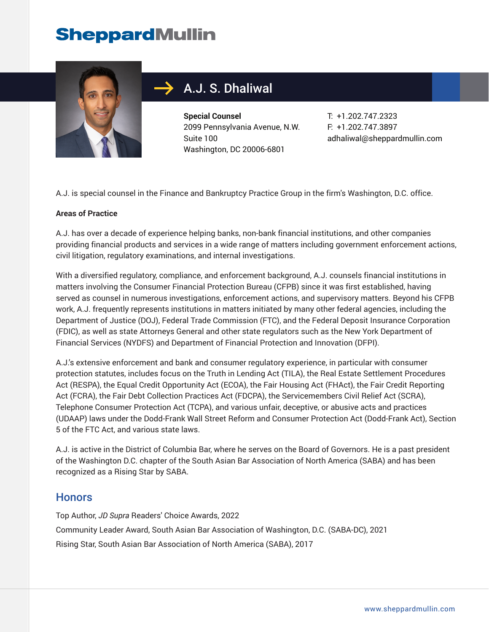

## $\rightarrow$  A.J. S. Dhaliwal

**Special Counsel** 2099 Pennsylvania Avenue, N.W. Suite 100 Washington, DC 20006-6801

T: +1.202.747.2323 F: +1.202.747.3897 adhaliwal@sheppardmullin.com

A.J. is special counsel in the Finance and Bankruptcy Practice Group in the firm's Washington, D.C. office.

#### **Areas of Practice**

A.J. has over a decade of experience helping banks, non-bank financial institutions, and other companies providing financial products and services in a wide range of matters including government enforcement actions, civil litigation, regulatory examinations, and internal investigations.

With a diversified regulatory, compliance, and enforcement background, A.J. counsels financial institutions in matters involving the Consumer Financial Protection Bureau (CFPB) since it was first established, having served as counsel in numerous investigations, enforcement actions, and supervisory matters. Beyond his CFPB work, A.J. frequently represents institutions in matters initiated by many other federal agencies, including the Department of Justice (DOJ), Federal Trade Commission (FTC), and the Federal Deposit Insurance Corporation (FDIC), as well as state Attorneys General and other state regulators such as the New York Department of Financial Services (NYDFS) and Department of Financial Protection and Innovation (DFPI).

A.J.'s extensive enforcement and bank and consumer regulatory experience, in particular with consumer protection statutes, includes focus on the Truth in Lending Act (TILA), the Real Estate Settlement Procedures Act (RESPA), the Equal Credit Opportunity Act (ECOA), the Fair Housing Act (FHAct), the Fair Credit Reporting Act (FCRA), the Fair Debt Collection Practices Act (FDCPA), the Servicemembers Civil Relief Act (SCRA), Telephone Consumer Protection Act (TCPA), and various unfair, deceptive, or abusive acts and practices (UDAAP) laws under the Dodd-Frank Wall Street Reform and Consumer Protection Act (Dodd-Frank Act), Section 5 of the FTC Act, and various state laws.

A.J. is active in the District of Columbia Bar, where he serves on the Board of Governors. He is a past president of the Washington D.C. chapter of the South Asian Bar Association of North America (SABA) and has been recognized as a Rising Star by SABA.

### **Honors**

Top Author, *JD Supra* Readers' Choice Awards, 2022 Community Leader Award, South Asian Bar Association of Washington, D.C. (SABA-DC), 2021 Rising Star, South Asian Bar Association of North America (SABA), 2017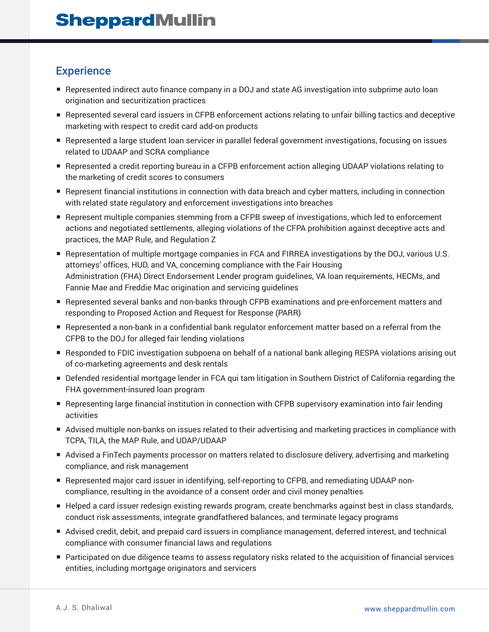## **Experience**

- Represented indirect auto finance company in a DOJ and state AG investigation into subprime auto loan origination and securitization practices
- Represented several card issuers in CFPB enforcement actions relating to unfair billing tactics and deceptive marketing with respect to credit card add-on products
- Represented a large student loan servicer in parallel federal government investigations, focusing on issues related to UDAAP and SCRA compliance
- Represented a credit reporting bureau in a CFPB enforcement action alleging UDAAP violations relating to the marketing of credit scores to consumers
- Represent financial institutions in connection with data breach and cyber matters, including in connection with related state regulatory and enforcement investigations into breaches
- Represent multiple companies stemming from a CFPB sweep of investigations, which led to enforcement actions and negotiated settlements, alleging violations of the CFPA prohibition against deceptive acts and practices, the MAP Rule, and Regulation Z
- Representation of multiple mortgage companies in FCA and FIRREA investigations by the DOJ, various U.S. attorneys' offices, HUD, and VA, concerning compliance with the Fair Housing Administration (FHA) Direct Endorsement Lender program guidelines, VA loan requirements, HECMs, and Fannie Mae and Freddie Mac origination and servicing guidelines
- Represented several banks and non-banks through CFPB examinations and pre-enforcement matters and responding to Proposed Action and Request for Response (PARR)
- Represented a non-bank in a confidential bank regulator enforcement matter based on a referral from the CFPB to the DOJ for alleged fair lending violations
- Responded to FDIC investigation subpoena on behalf of a national bank alleging RESPA violations arising out of co-marketing agreements and desk rentals
- Defended residential mortgage lender in FCA qui tam litigation in Southern District of California regarding the FHA government-insured loan program
- Representing large financial institution in connection with CFPB supervisory examination into fair lending activities
- Advised multiple non-banks on issues related to their advertising and marketing practices in compliance with TCPA, TILA, the MAP Rule, and UDAP/UDAAP
- Advised a FinTech payments processor on matters related to disclosure delivery, advertising and marketing compliance, and risk management
- Represented major card issuer in identifying, self-reporting to CFPB, and remediating UDAAP noncompliance, resulting in the avoidance of a consent order and civil money penalties
- Helped a card issuer redesign existing rewards program, create benchmarks against best in class standards, conduct risk assessments, integrate grandfathered balances, and terminate legacy programs
- Advised credit, debit, and prepaid card issuers in compliance management, deferred interest, and technical compliance with consumer financial laws and regulations
- Participated on due diligence teams to assess regulatory risks related to the acquisition of financial services entities, including mortgage originators and servicers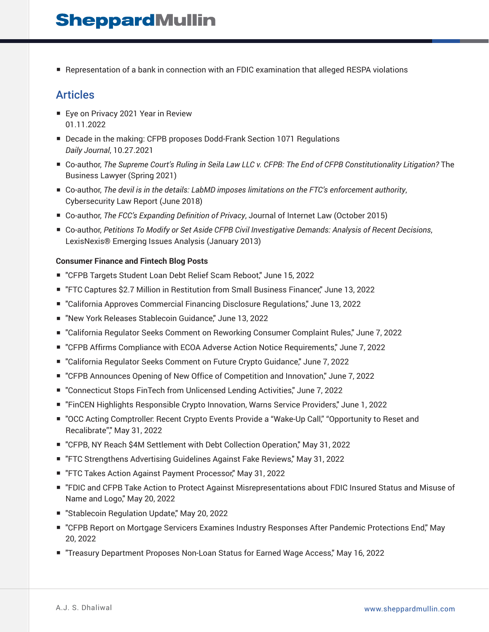■ Representation of a bank in connection with an FDIC examination that alleged RESPA violations

### Articles

- Eye on Privacy 2021 Year in Review 01.11.2022
- Decade in the making: CFPB proposes Dodd-Frank Section 1071 Regulations *Daily Journal*, 10.27.2021
- Co-author, *The Supreme Court's Ruling in Seila Law LLC v. CFPB: The End of CFPB Constitutionality Litigation?* The Business Lawyer (Spring 2021)
- Co-author, *The devil is in the details: LabMD imposes limitations on the FTC's enforcement authority*, Cybersecurity Law Report (June 2018)
- Co-author, *The FCC's Expanding Definition of Privacy*, Journal of Internet Law (October 2015)
- Co-author, *Petitions To Modify or Set Aside CFPB Civil Investigative Demands: Analysis of Recent Decisions*, LexisNexis® Emerging Issues Analysis (January 2013)

#### **Consumer Finance and Fintech Blog Posts**

- "CFPB Targets Student Loan Debt Relief Scam Reboot," June 15, 2022
- "FTC Captures \$2.7 Million in Restitution from Small Business Financer," June 13, 2022
- "California Approves Commercial Financing Disclosure Regulations," June 13, 2022
- "New York Releases Stablecoin Guidance," June 13, 2022
- "California Regulator Seeks Comment on Reworking Consumer Complaint Rules," June 7, 2022
- "CFPB Affirms Compliance with ECOA Adverse Action Notice Requirements," June 7, 2022
- "California Regulator Seeks Comment on Future Crypto Guidance," June 7, 2022
- "CFPB Announces Opening of New Office of Competition and Innovation," June 7, 2022
- "Connecticut Stops FinTech from Unlicensed Lending Activities," June 7, 2022
- "FinCEN Highlights Responsible Crypto Innovation, Warns Service Providers," June 1, 2022
- "OCC Acting Comptroller: Recent Crypto Events Provide a "Wake-Up Call," "Opportunity to Reset and Recalibrate"," May 31, 2022
- "CFPB, NY Reach \$4M Settlement with Debt Collection Operation," May 31, 2022
- "FTC Strengthens Advertising Guidelines Against Fake Reviews," May 31, 2022
- "FTC Takes Action Against Payment Processor," May 31, 2022
- "FDIC and CFPB Take Action to Protect Against Misrepresentations about FDIC Insured Status and Misuse of Name and Logo," May 20, 2022
- "Stablecoin Regulation Update," May 20, 2022
- "CFPB Report on Mortgage Servicers Examines Industry Responses After Pandemic Protections End," May 20, 2022
- "Treasury Department Proposes Non-Loan Status for Earned Wage Access," May 16, 2022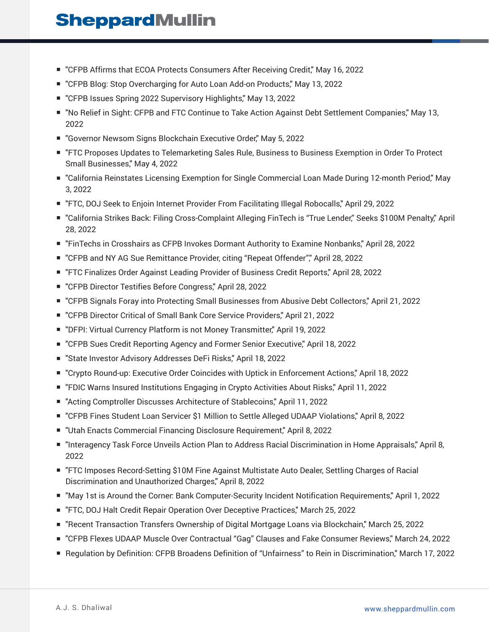- "CFPB Affirms that ECOA Protects Consumers After Receiving Credit," May 16, 2022
- "CFPB Blog: Stop Overcharging for Auto Loan Add-on Products," May 13, 2022
- "CFPB Issues Spring 2022 Supervisory Highlights," May 13, 2022
- "No Relief in Sight: CFPB and FTC Continue to Take Action Against Debt Settlement Companies," May 13, 2022
- "Governor Newsom Signs Blockchain Executive Order," May 5, 2022
- "FTC Proposes Updates to Telemarketing Sales Rule, Business to Business Exemption in Order To Protect Small Businesses," May 4, 2022
- "California Reinstates Licensing Exemption for Single Commercial Loan Made During 12-month Period," May 3, 2022
- "FTC, DOJ Seek to Enjoin Internet Provider From Facilitating Illegal Robocalls," April 29, 2022
- "California Strikes Back: Filing Cross-Complaint Alleging FinTech is "True Lender," Seeks \$100M Penalty," April 28, 2022
- "FinTechs in Crosshairs as CFPB Invokes Dormant Authority to Examine Nonbanks," April 28, 2022
- "CFPB and NY AG Sue Remittance Provider, citing "Repeat Offender"," April 28, 2022
- "FTC Finalizes Order Against Leading Provider of Business Credit Reports," April 28, 2022
- "CFPB Director Testifies Before Congress," April 28, 2022
- "CFPB Signals Foray into Protecting Small Businesses from Abusive Debt Collectors," April 21, 2022
- "CFPB Director Critical of Small Bank Core Service Providers," April 21, 2022
- "DFPI: Virtual Currency Platform is not Money Transmitter," April 19, 2022
- "CFPB Sues Credit Reporting Agency and Former Senior Executive," April 18, 2022
- "State Investor Advisory Addresses DeFi Risks," April 18, 2022
- "Crypto Round-up: Executive Order Coincides with Uptick in Enforcement Actions," April 18, 2022
- "FDIC Warns Insured Institutions Engaging in Crypto Activities About Risks," April 11, 2022
- "Acting Comptroller Discusses Architecture of Stablecoins," April 11, 2022
- "CFPB Fines Student Loan Servicer \$1 Million to Settle Alleged UDAAP Violations," April 8, 2022
- "Utah Enacts Commercial Financing Disclosure Requirement," April 8, 2022
- "Interagency Task Force Unveils Action Plan to Address Racial Discrimination in Home Appraisals," April 8, 2022
- "FTC Imposes Record-Setting \$10M Fine Against Multistate Auto Dealer, Settling Charges of Racial Discrimination and Unauthorized Charges," April 8, 2022
- "May 1st is Around the Corner: Bank Computer-Security Incident Notification Requirements," April 1, 2022
- "FTC, DOJ Halt Credit Repair Operation Over Deceptive Practices," March 25, 2022
- "Recent Transaction Transfers Ownership of Digital Mortgage Loans via Blockchain," March 25, 2022
- "CFPB Flexes UDAAP Muscle Over Contractual "Gag" Clauses and Fake Consumer Reviews," March 24, 2022
- Regulation by Definition: CFPB Broadens Definition of "Unfairness" to Rein in Discrimination," March 17, 2022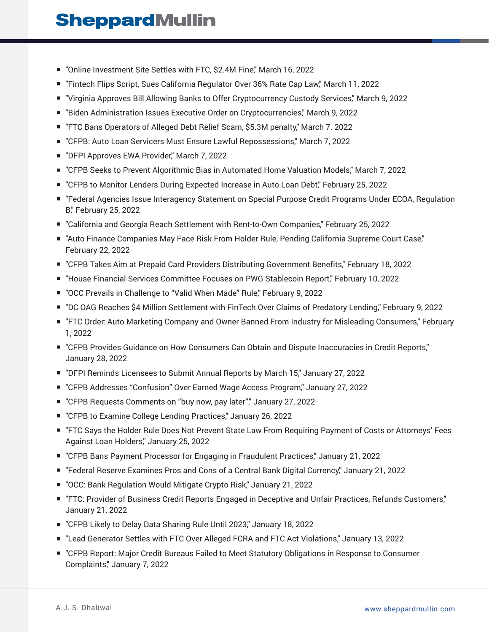- "Online Investment Site Settles with FTC, \$2.4M Fine," March 16, 2022
- "Fintech Flips Script, Sues California Regulator Over 36% Rate Cap Law," March 11, 2022
- "Virginia Approves Bill Allowing Banks to Offer Cryptocurrency Custody Services," March 9, 2022
- "Biden Administration Issues Executive Order on Cryptocurrencies," March 9, 2022
- "FTC Bans Operators of Alleged Debt Relief Scam, \$5.3M penalty," March 7. 2022
- "CFPB: Auto Loan Servicers Must Ensure Lawful Repossessions," March 7, 2022
- "DFPI Approves EWA Provider," March 7, 2022
- "CFPB Seeks to Prevent Algorithmic Bias in Automated Home Valuation Models," March 7, 2022
- "CFPB to Monitor Lenders During Expected Increase in Auto Loan Debt," February 25, 2022
- "Federal Agencies Issue Interagency Statement on Special Purpose Credit Programs Under ECOA, Regulation B," February 25, 2022
- "California and Georgia Reach Settlement with Rent-to-Own Companies," February 25, 2022
- "Auto Finance Companies May Face Risk From Holder Rule, Pending California Supreme Court Case," February 22, 2022
- "CFPB Takes Aim at Prepaid Card Providers Distributing Government Benefits," February 18, 2022
- "House Financial Services Committee Focuses on PWG Stablecoin Report," February 10, 2022
- "OCC Prevails in Challenge to "Valid When Made" Rule," February 9, 2022
- "DC OAG Reaches \$4 Million Settlement with FinTech Over Claims of Predatory Lending," February 9, 2022
- "FTC Order: Auto Marketing Company and Owner Banned From Industry for Misleading Consumers," February 1, 2022
- "CFPB Provides Guidance on How Consumers Can Obtain and Dispute Inaccuracies in Credit Reports," January 28, 2022
- "DFPI Reminds Licensees to Submit Annual Reports by March 15," January 27, 2022
- "CFPB Addresses "Confusion" Over Earned Wage Access Program," January 27, 2022
- "CFPB Requests Comments on "buy now, pay later"," January 27, 2022
- "CFPB to Examine College Lending Practices," January 26, 2022
- "FTC Says the Holder Rule Does Not Prevent State Law From Requiring Payment of Costs or Attorneys' Fees Against Loan Holders," January 25, 2022
- "CFPB Bans Payment Processor for Engaging in Fraudulent Practices," January 21, 2022
- "Federal Reserve Examines Pros and Cons of a Central Bank Digital Currency," January 21, 2022
- "OCC: Bank Regulation Would Mitigate Crypto Risk," January 21, 2022
- "FTC: Provider of Business Credit Reports Engaged in Deceptive and Unfair Practices, Refunds Customers," January 21, 2022
- "CFPB Likely to Delay Data Sharing Rule Until 2023," January 18, 2022
- "Lead Generator Settles with FTC Over Alleged FCRA and FTC Act Violations," January 13, 2022
- "CFPB Report: Major Credit Bureaus Failed to Meet Statutory Obligations in Response to Consumer Complaints," January 7, 2022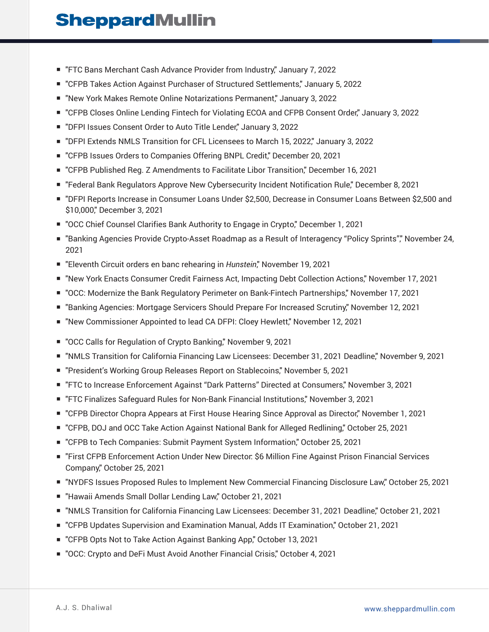- "FTC Bans Merchant Cash Advance Provider from Industry", January 7, 2022
- "CFPB Takes Action Against Purchaser of Structured Settlements," January 5, 2022
- "New York Makes Remote Online Notarizations Permanent" January 3, 2022
- "CFPB Closes Online Lending Fintech for Violating ECOA and CFPB Consent Order," January 3, 2022
- "DFPI Issues Consent Order to Auto Title Lender," January 3, 2022
- "DFPI Extends NMLS Transition for CFL Licensees to March 15, 2022," January 3, 2022
- "CFPB Issues Orders to Companies Offering BNPL Credit," December 20, 2021
- "CFPB Published Reg. Z Amendments to Facilitate Libor Transition," December 16, 2021
- "Federal Bank Regulators Approve New Cybersecurity Incident Notification Rule," December 8, 2021
- "DFPI Reports Increase in Consumer Loans Under \$2,500, Decrease in Consumer Loans Between \$2,500 and \$10,000," December 3, 2021
- "OCC Chief Counsel Clarifies Bank Authority to Engage in Crypto," December 1, 2021
- "Banking Agencies Provide Crypto-Asset Roadmap as a Result of Interagency "Policy Sprints"," November 24, 2021
- "Eleventh Circuit orders en banc rehearing in *Hunstein*," November 19, 2021
- "New York Enacts Consumer Credit Fairness Act, Impacting Debt Collection Actions," November 17, 2021
- "OCC: Modernize the Bank Regulatory Perimeter on Bank-Fintech Partnerships," November 17, 2021
- "Banking Agencies: Mortgage Servicers Should Prepare For Increased Scrutiny," November 12, 2021
- "New Commissioner Appointed to lead CA DFPI: Cloey Hewlett," November 12, 2021
- "OCC Calls for Regulation of Crypto Banking," November 9, 2021
- "NMLS Transition for California Financing Law Licensees: December 31, 2021 Deadline," November 9, 2021
- "President's Working Group Releases Report on Stablecoins," November 5, 2021
- "FTC to Increase Enforcement Against "Dark Patterns" Directed at Consumers," November 3, 2021
- "FTC Finalizes Safeguard Rules for Non-Bank Financial Institutions," November 3, 2021
- "CFPB Director Chopra Appears at First House Hearing Since Approval as Director," November 1, 2021
- "CFPB, DOJ and OCC Take Action Against National Bank for Alleged Redlining," October 25, 2021
- "CFPB to Tech Companies: Submit Payment System Information," October 25, 2021
- "First CFPB Enforcement Action Under New Director: \$6 Million Fine Against Prison Financial Services Company," October 25, 2021
- "NYDFS Issues Proposed Rules to Implement New Commercial Financing Disclosure Law," October 25, 2021
- "Hawaii Amends Small Dollar Lending Law," October 21, 2021
- "NMLS Transition for California Financing Law Licensees: December 31, 2021 Deadline," October 21, 2021
- "CFPB Updates Supervision and Examination Manual, Adds IT Examination," October 21, 2021
- "CFPB Opts Not to Take Action Against Banking App," October 13, 2021
- "OCC: Crypto and DeFi Must Avoid Another Financial Crisis," October 4, 2021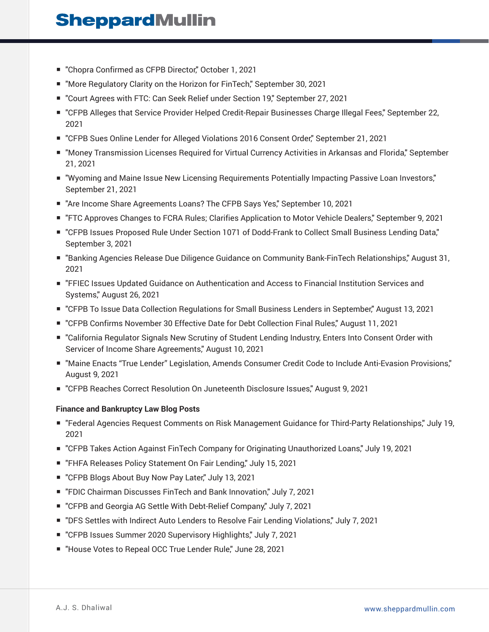- "Chopra Confirmed as CFPB Director," October 1, 2021
- "More Regulatory Clarity on the Horizon for FinTech," September 30, 2021
- "Court Agrees with FTC: Can Seek Relief under Section 19," September 27, 2021
- "CFPB Alleges that Service Provider Helped Credit-Repair Businesses Charge Illegal Fees," September 22, 2021
- "CFPB Sues Online Lender for Alleged Violations 2016 Consent Order," September 21, 2021
- "Money Transmission Licenses Required for Virtual Currency Activities in Arkansas and Florida," September 21, 2021
- "Wyoming and Maine Issue New Licensing Requirements Potentially Impacting Passive Loan Investors," September 21, 2021
- "Are Income Share Agreements Loans? The CFPB Says Yes," September 10, 2021
- "FTC Approves Changes to FCRA Rules; Clarifies Application to Motor Vehicle Dealers," September 9, 2021
- "CFPB Issues Proposed Rule Under Section 1071 of Dodd-Frank to Collect Small Business Lending Data," September 3, 2021
- "Banking Agencies Release Due Diligence Guidance on Community Bank-FinTech Relationships," August 31, 2021
- "FFIEC Issues Updated Guidance on Authentication and Access to Financial Institution Services and Systems," August 26, 2021
- "CFPB To Issue Data Collection Regulations for Small Business Lenders in September," August 13, 2021
- "CFPB Confirms November 30 Effective Date for Debt Collection Final Rules," August 11, 2021
- "California Regulator Signals New Scrutiny of Student Lending Industry, Enters Into Consent Order with Servicer of Income Share Agreements," August 10, 2021
- "Maine Enacts "True Lender" Legislation, Amends Consumer Credit Code to Include Anti-Evasion Provisions," August 9, 2021
- "CFPB Reaches Correct Resolution On Juneteenth Disclosure Issues," August 9, 2021

#### **Finance and Bankruptcy Law Blog Posts**

- "Federal Agencies Request Comments on Risk Management Guidance for Third-Party Relationships," July 19, 2021
- "CFPB Takes Action Against FinTech Company for Originating Unauthorized Loans," July 19, 2021
- "FHFA Releases Policy Statement On Fair Lending," July 15, 2021
- "CFPB Blogs About Buy Now Pay Later," July 13, 2021
- "FDIC Chairman Discusses FinTech and Bank Innovation," July 7, 2021
- "CFPB and Georgia AG Settle With Debt-Relief Company," July 7, 2021
- "DFS Settles with Indirect Auto Lenders to Resolve Fair Lending Violations," July 7, 2021
- "CFPB Issues Summer 2020 Supervisory Highlights," July 7, 2021
- "House Votes to Repeal OCC True Lender Rule," June 28, 2021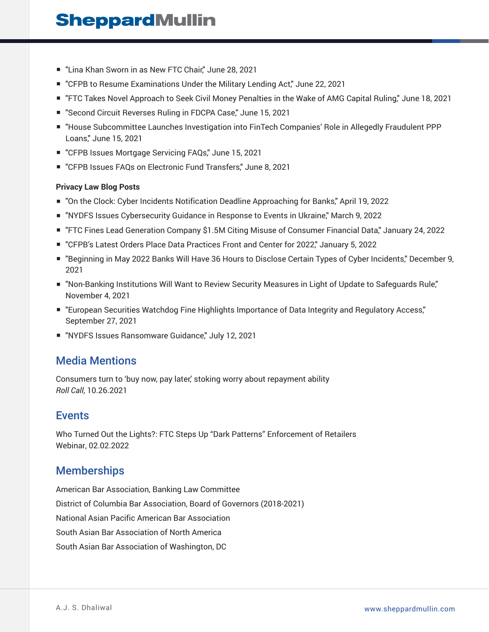- "Lina Khan Sworn in as New FTC Chair," June 28, 2021
- "CFPB to Resume Examinations Under the Military Lending Act," June 22, 2021
- "FTC Takes Novel Approach to Seek Civil Money Penalties in the Wake of AMG Capital Ruling," June 18, 2021
- "Second Circuit Reverses Ruling in FDCPA Case," June 15, 2021
- "House Subcommittee Launches Investigation into FinTech Companies' Role in Allegedly Fraudulent PPP Loans," June 15, 2021
- "CFPB Issues Mortgage Servicing FAQs," June 15, 2021
- "CFPB Issues FAQs on Electronic Fund Transfers," June 8, 2021

#### **Privacy Law Blog Posts**

- "On the Clock: Cyber Incidents Notification Deadline Approaching for Banks," April 19, 2022
- "NYDFS Issues Cybersecurity Guidance in Response to Events in Ukraine," March 9, 2022
- "FTC Fines Lead Generation Company \$1.5M Citing Misuse of Consumer Financial Data," January 24, 2022
- "CFPB's Latest Orders Place Data Practices Front and Center for 2022," January 5, 2022
- "Beginning in May 2022 Banks Will Have 36 Hours to Disclose Certain Types of Cyber Incidents," December 9, 2021
- "Non-Banking Institutions Will Want to Review Security Measures in Light of Update to Safeguards Rule," November 4, 2021
- "European Securities Watchdog Fine Highlights Importance of Data Integrity and Regulatory Access," September 27, 2021
- "NYDFS Issues Ransomware Guidance," July 12, 2021

### Media Mentions

Consumers turn to 'buy now, pay later,' stoking worry about repayment ability *Roll Call*, 10.26.2021

### Events

Who Turned Out the Lights?: FTC Steps Up "Dark Patterns" Enforcement of Retailers Webinar, 02.02.2022

### **Memberships**

American Bar Association, Banking Law Committee District of Columbia Bar Association, Board of Governors (2018-2021) National Asian Pacific American Bar Association South Asian Bar Association of North America South Asian Bar Association of Washington, DC